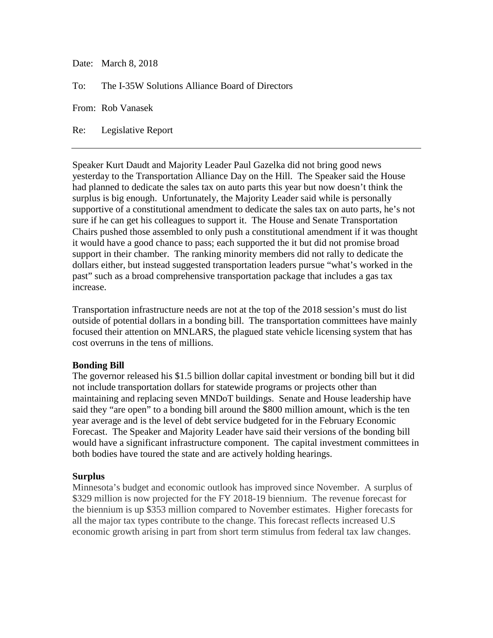Date: March 8, 2018

To: The I-35W Solutions Alliance Board of Directors

From: Rob Vanasek

Re: Legislative Report

Speaker Kurt Daudt and Majority Leader Paul Gazelka did not bring good news yesterday to the Transportation Alliance Day on the Hill. The Speaker said the House had planned to dedicate the sales tax on auto parts this year but now doesn't think the surplus is big enough. Unfortunately, the Majority Leader said while is personally supportive of a constitutional amendment to dedicate the sales tax on auto parts, he's not sure if he can get his colleagues to support it. The House and Senate Transportation Chairs pushed those assembled to only push a constitutional amendment if it was thought it would have a good chance to pass; each supported the it but did not promise broad support in their chamber. The ranking minority members did not rally to dedicate the dollars either, but instead suggested transportation leaders pursue "what's worked in the past" such as a broad comprehensive transportation package that includes a gas tax increase.

Transportation infrastructure needs are not at the top of the 2018 session's must do list outside of potential dollars in a bonding bill. The transportation committees have mainly focused their attention on MNLARS, the plagued state vehicle licensing system that has cost overruns in the tens of millions.

## **Bonding Bill**

The governor released his \$1.5 billion dollar capital investment or bonding bill but it did not include transportation dollars for statewide programs or projects other than maintaining and replacing seven MNDoT buildings. Senate and House leadership have said they "are open" to a bonding bill around the \$800 million amount, which is the ten year average and is the level of debt service budgeted for in the February Economic Forecast. The Speaker and Majority Leader have said their versions of the bonding bill would have a significant infrastructure component. The capital investment committees in both bodies have toured the state and are actively holding hearings.

## **Surplus**

Minnesota's budget and economic outlook has improved since November. A surplus of \$329 million is now projected for the FY 2018-19 biennium. The revenue forecast for the biennium is up \$353 million compared to November estimates. Higher forecasts for all the major tax types contribute to the change. This forecast reflects increased U.S economic growth arising in part from short term stimulus from federal tax law changes.